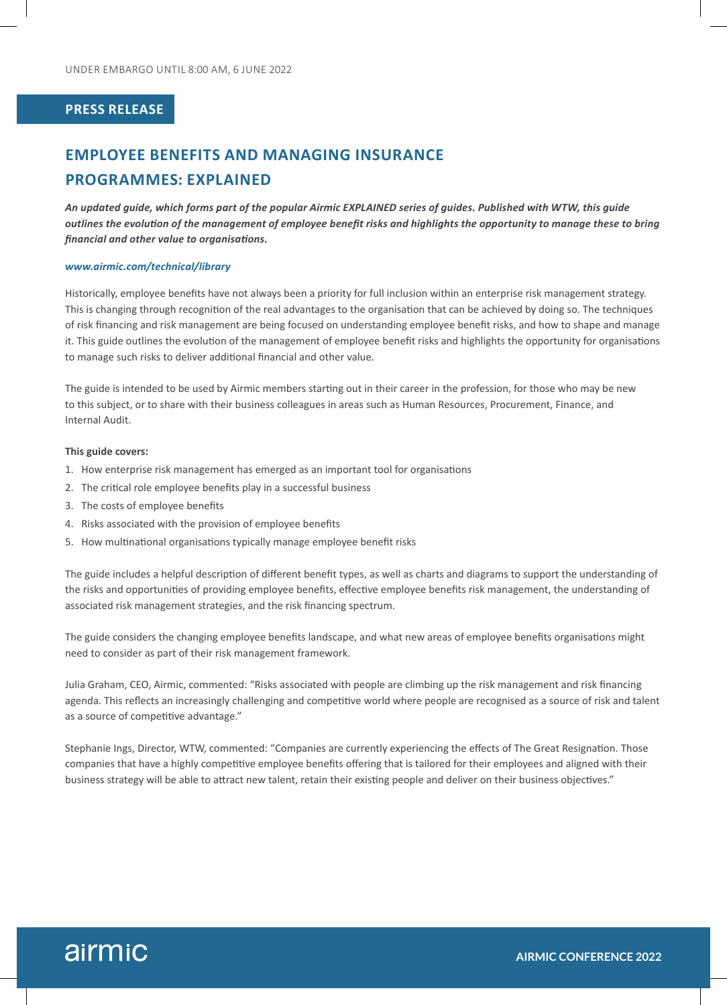### **PRESS RELEASE**

# **EMPLOYEE BENEFITS AND MANAGING INSURANCE PROGRAMMES: EXPLAINED**

*An updated guide, which forms part of the popular Airmic EXPLAINED series of guides. Published with WTW, this guide outlines the evolution of the management of employee benefit risks and highlights the opportunity to manage these to bring financial and other value to organisations.*

#### *www.airmic.com/technical/library*

Historically, employee benefits have not always been a priority for full inclusion within an enterprise risk management strategy. This is changing through recognition of the real advantages to the organisation that can be achieved by doing so. The techniques of risk financing and risk management are being focused on understanding employee benefit risks, and how to shape and manage it. This guide outlines the evolution of the management of employee benefit risks and highlights the opportunity for organisations to manage such risks to deliver additional financial and other value.

The guide is intended to be used by Airmic members starting out in their career in the profession, for those who may be new to this subject, or to share with their business colleagues in areas such as Human Resources, Procurement, Finance, and Internal Audit.

### **This guide covers:**

- 1. How enterprise risk management has emerged as an important tool for organisations
- 2. The critical role employee benefits play in a successful business
- 3. The costs of employee benefits
- 4. Risks associated with the provision of employee benefits
- 5. How multinational organisations typically manage employee benefit risks

The guide includes a helpful description of different benefit types, as well as charts and diagrams to support the understanding of the risks and opportunities of providing employee benefits, effective employee benefits risk management, the understanding of associated risk management strategies, and the risk financing spectrum.

The guide considers the changing employee benefits landscape, and what new areas of employee benefits organisations might need to consider as part of their risk management framework.

Julia Graham, CEO, Airmic, commented: "Risks associated with people are climbing up the risk management and risk financing agenda. This reflects an increasingly challenging and competitive world where people are recognised as a source of risk and talent as a source of competitive advantage."

Stephanie Ings, Director, WTW, commented: "Companies are currently experiencing the effects of The Great Resignation. Those companies that have a highly competitive employee benefits offering that is tailored for their employees and aligned with their business strategy will be able to attract new talent, retain their existing people and deliver on their business objectives."